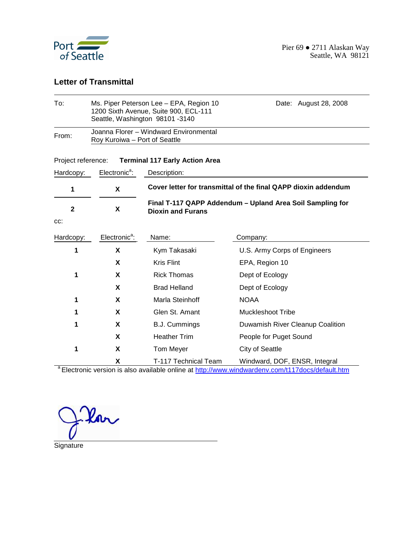

#### **Letter of Transmittal**

| To:                | Ms. Piper Peterson Lee - EPA, Region 10<br>1200 Sixth Avenue, Suite 900, ECL-111<br>Seattle, Washington 98101-3140 | Date: August 28, 2008                 |                                                                |  |  |  |  |  |  |
|--------------------|--------------------------------------------------------------------------------------------------------------------|---------------------------------------|----------------------------------------------------------------|--|--|--|--|--|--|
| From:              | Joanna Florer - Windward Environmental<br>Roy Kuroiwa - Port of Seattle                                            |                                       |                                                                |  |  |  |  |  |  |
| Project reference: |                                                                                                                    | <b>Terminal 117 Early Action Area</b> |                                                                |  |  |  |  |  |  |
| Hardcopy:          | Electronic <sup>a</sup> :                                                                                          | Description:                          |                                                                |  |  |  |  |  |  |
| 1                  | X                                                                                                                  |                                       | Cover letter for transmittal of the final QAPP dioxin addendum |  |  |  |  |  |  |
| $\mathbf{2}$       | X                                                                                                                  | <b>Dioxin and Furans</b>              | Final T-117 QAPP Addendum - Upland Area Soil Sampling for      |  |  |  |  |  |  |
| CC:                |                                                                                                                    |                                       |                                                                |  |  |  |  |  |  |
| Hardcopy:          | Electronic <sup>a</sup> :                                                                                          | Name:                                 | Company:                                                       |  |  |  |  |  |  |
| 1                  | X                                                                                                                  | Kym Takasaki                          | U.S. Army Corps of Engineers                                   |  |  |  |  |  |  |
|                    | X                                                                                                                  | <b>Kris Flint</b>                     | EPA, Region 10                                                 |  |  |  |  |  |  |
| 1                  | X                                                                                                                  | <b>Rick Thomas</b>                    | Dept of Ecology                                                |  |  |  |  |  |  |
|                    | X                                                                                                                  | <b>Brad Helland</b>                   | Dept of Ecology                                                |  |  |  |  |  |  |
| 1                  | X                                                                                                                  | Marla Steinhoff                       | <b>NOAA</b>                                                    |  |  |  |  |  |  |
| 1                  | X                                                                                                                  | Glen St. Amant                        | <b>Muckleshoot Tribe</b>                                       |  |  |  |  |  |  |
| 1                  | X                                                                                                                  | <b>B.J. Cummings</b>                  | Duwamish River Cleanup Coalition                               |  |  |  |  |  |  |
|                    | X                                                                                                                  | <b>Heather Trim</b>                   | People for Puget Sound                                         |  |  |  |  |  |  |
| 1                  | X                                                                                                                  | Tom Meyer                             | <b>City of Seattle</b>                                         |  |  |  |  |  |  |
|                    | X                                                                                                                  | T-117 Technical Team                  | Windward, DOF, ENSR, Integral                                  |  |  |  |  |  |  |

<sup>a</sup> Electronic version is also available online at http://www.windwardenv.com/t117docs/default.htm

<u> Ion</u>

**Signature**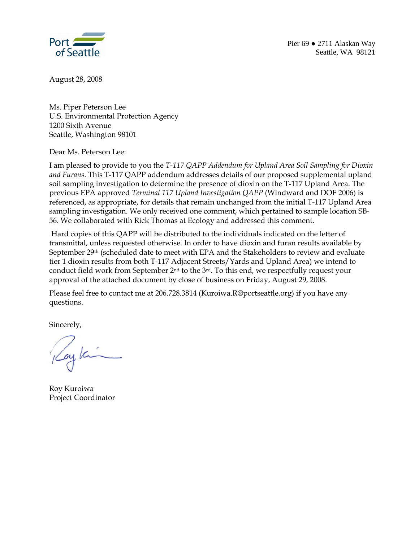

August 28, 2008

Ms. Piper Peterson Lee U.S. Environmental Protection Agency 1200 Sixth Avenue Seattle, Washington 98101

Dear Ms. Peterson Lee:

I am pleased to provide to you the *T-117 QAPP Addendum for Upland Area Soil Sampling for Dioxin and Furans*. This T-117 QAPP addendum addresses details of our proposed supplemental upland soil sampling investigation to determine the presence of dioxin on the T-117 Upland Area. The previous EPA approved *Terminal 117 Upland Investigation QAPP* (Windward and DOF 2006) is referenced, as appropriate, for details that remain unchanged from the initial T-117 Upland Area sampling investigation. We only received one comment, which pertained to sample location SB-56. We collaborated with Rick Thomas at Ecology and addressed this comment.

 Hard copies of this QAPP will be distributed to the individuals indicated on the letter of transmittal, unless requested otherwise. In order to have dioxin and furan results available by September 29th (scheduled date to meet with EPA and the Stakeholders to review and evaluate tier 1 dioxin results from both T-117 Adjacent Streets/Yards and Upland Area) we intend to conduct field work from September 2nd to the 3rd. To this end, we respectfully request your approval of the attached document by close of business on Friday, August 29, 2008.

Please feel free to contact me at 206.728.3814 (Kuroiwa.R@portseattle.org) if you have any questions.

Sincerely,

ayka

Roy Kuroiwa Project Coordinator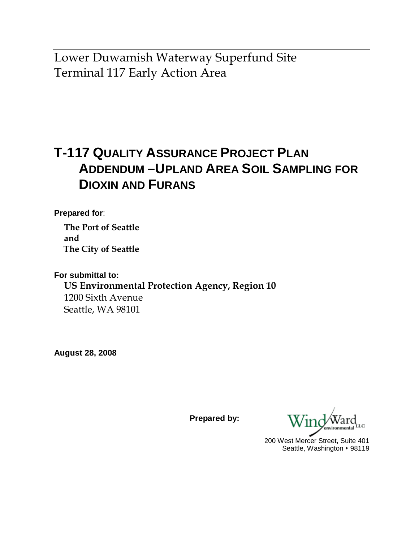Lower Duwamish Waterway Superfund Site Terminal 117 Early Action Area

# **T-117 QUALITY ASSURANCE PROJECT PLAN ADDENDUM –UPLAND AREA SOIL SAMPLING FOR DIOXIN AND FURANS**

**Prepared for**:

**The Port of Seattle and The City of Seattle** 

**For submittal to: US Environmental Protection Agency, Region 10**  1200 Sixth Avenue Seattle, WA 98101

**August 28, 2008** 

**Prepared by:** 

200 West Mercer Street, Suite 401 Seattle, Washington • 98119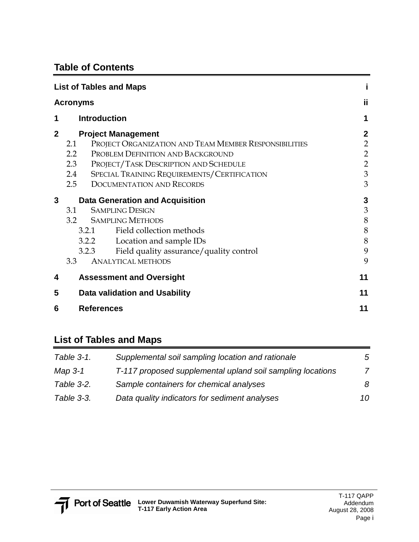## **Table of Contents**

|              | <b>List of Tables and Maps</b>                                                                                                                                                                                                                                                                      |                                                                              |
|--------------|-----------------------------------------------------------------------------------------------------------------------------------------------------------------------------------------------------------------------------------------------------------------------------------------------------|------------------------------------------------------------------------------|
|              | <b>Acronyms</b>                                                                                                                                                                                                                                                                                     | ij                                                                           |
| 1            | <b>Introduction</b>                                                                                                                                                                                                                                                                                 | 1                                                                            |
| $\mathbf{2}$ | <b>Project Management</b><br>PROJECT ORGANIZATION AND TEAM MEMBER RESPONSIBILITIES<br>2.1<br>PROBLEM DEFINITION AND BACKGROUND<br>$2.2\phantom{0}$<br>PROJECT/TASK DESCRIPTION AND SCHEDULE<br>2.3<br>SPECIAL TRAINING REQUIREMENTS/CERTIFICATION<br>2.4<br><b>DOCUMENTATION AND RECORDS</b><br>2.5 | $\mathbf{2}$<br>$\overline{2}$<br>$\overline{2}$<br>$\overline{2}$<br>3<br>3 |
| 3            | <b>Data Generation and Acquisition</b><br><b>SAMPLING DESIGN</b><br>3.1<br>3.2 SAMPLING METHODS<br>Field collection methods<br>3.2.1<br>3.2.2 Location and sample IDs<br>Field quality assurance/quality control<br>3.2.3<br>3.3<br><b>ANALYTICAL METHODS</b>                                       | 3<br>3<br>8<br>8<br>8<br>9<br>9                                              |
| 4<br>5<br>6  | <b>Assessment and Oversight</b><br>Data validation and Usability                                                                                                                                                                                                                                    | 11<br>11<br>11                                                               |
|              | <b>References</b>                                                                                                                                                                                                                                                                                   |                                                                              |

### **List of Tables and Maps**

| Table 3-1. | Supplemental soil sampling location and rationale          | 5  |
|------------|------------------------------------------------------------|----|
| Map 3-1    | T-117 proposed supplemental upland soil sampling locations | 7  |
| Table 3-2. | Sample containers for chemical analyses                    | 8  |
| Table 3-3. | Data quality indicators for sediment analyses              | 10 |

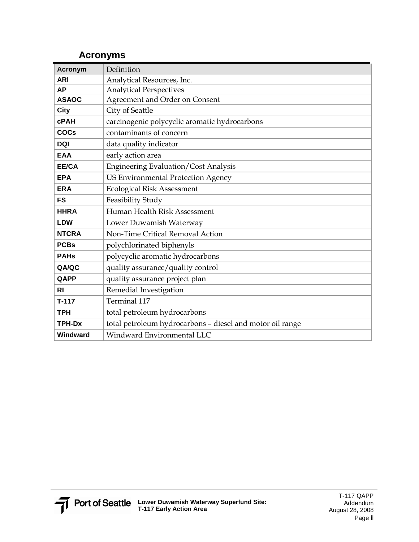## **Acronyms**

| <b>Acronym</b> | Definition                                                |
|----------------|-----------------------------------------------------------|
| <b>ARI</b>     | Analytical Resources, Inc.                                |
| AP             | <b>Analytical Perspectives</b>                            |
| <b>ASAOC</b>   | Agreement and Order on Consent                            |
| <b>City</b>    | City of Seattle                                           |
| <b>cPAH</b>    | carcinogenic polycyclic aromatic hydrocarbons             |
| <b>COCs</b>    | contaminants of concern                                   |
| <b>DQI</b>     | data quality indicator                                    |
| <b>EAA</b>     | early action area                                         |
| EE/CA          | <b>Engineering Evaluation/Cost Analysis</b>               |
| <b>EPA</b>     | <b>US Environmental Protection Agency</b>                 |
| <b>ERA</b>     | <b>Ecological Risk Assessment</b>                         |
| <b>FS</b>      | Feasibility Study                                         |
| <b>HHRA</b>    | Human Health Risk Assessment                              |
| <b>LDW</b>     | Lower Duwamish Waterway                                   |
| <b>NTCRA</b>   | Non-Time Critical Removal Action                          |
| <b>PCBs</b>    | polychlorinated biphenyls                                 |
| <b>PAHs</b>    | polycyclic aromatic hydrocarbons                          |
| QA/QC          | quality assurance/quality control                         |
| QAPP           | quality assurance project plan                            |
| R <sub>l</sub> | Remedial Investigation                                    |
| $T-117$        | Terminal 117                                              |
| <b>TPH</b>     | total petroleum hydrocarbons                              |
| <b>TPH-Dx</b>  | total petroleum hydrocarbons - diesel and motor oil range |
| Windward       | Windward Environmental LLC                                |

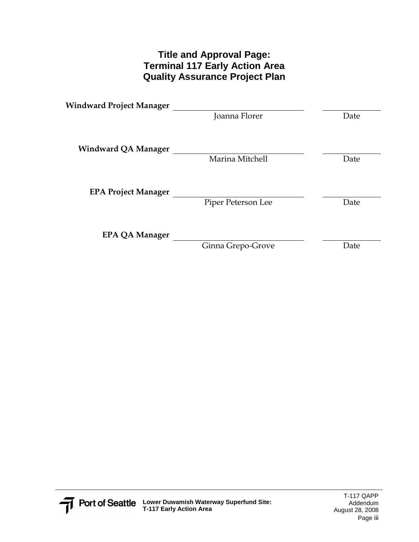### **Title and Approval Page: Terminal 117 Early Action Area Quality Assurance Project Plan**

| Windward Project Manager   |                    |      |
|----------------------------|--------------------|------|
|                            | Joanna Florer      | Date |
| <b>Windward QA Manager</b> |                    |      |
|                            | Marina Mitchell    | Date |
| <b>EPA Project Manager</b> |                    |      |
|                            | Piper Peterson Lee | Date |
| EPA QA Manager             |                    |      |
|                            | Ginna Grepo-Grove  | Date |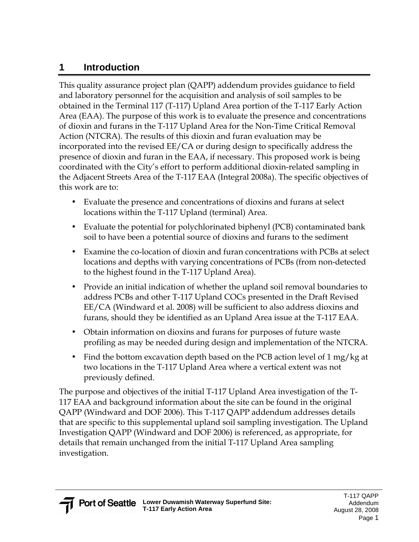## **1 Introduction**

This quality assurance project plan (QAPP) addendum provides guidance to field and laboratory personnel for the acquisition and analysis of soil samples to be obtained in the Terminal 117 (T-117) Upland Area portion of the T-117 Early Action Area (EAA). The purpose of this work is to evaluate the presence and concentrations of dioxin and furans in the T-117 Upland Area for the Non-Time Critical Removal Action (NTCRA). The results of this dioxin and furan evaluation may be incorporated into the revised EE/CA or during design to specifically address the presence of dioxin and furan in the EAA, if necessary. This proposed work is being coordinated with the City's effort to perform additional dioxin-related sampling in the Adjacent Streets Area of the T-117 EAA (Integral 2008a). The specific objectives of this work are to:

- Evaluate the presence and concentrations of dioxins and furans at select locations within the T-117 Upland (terminal) Area.
- Evaluate the potential for polychlorinated biphenyl (PCB) contaminated bank soil to have been a potential source of dioxins and furans to the sediment
- Examine the co-location of dioxin and furan concentrations with PCBs at select locations and depths with varying concentrations of PCBs (from non-detected to the highest found in the T-117 Upland Area).
- Provide an initial indication of whether the upland soil removal boundaries to address PCBs and other T-117 Upland COCs presented in the Draft Revised EE/CA (Windward et al. 2008) will be sufficient to also address dioxins and furans, should they be identified as an Upland Area issue at the T-117 EAA.
- Obtain information on dioxins and furans for purposes of future waste profiling as may be needed during design and implementation of the NTCRA.
- Find the bottom excavation depth based on the PCB action level of 1 mg/kg at two locations in the T-117 Upland Area where a vertical extent was not previously defined.

The purpose and objectives of the initial T-117 Upland Area investigation of the T-117 EAA and background information about the site can be found in the original QAPP (Windward and DOF 2006). This T-117 QAPP addendum addresses details that are specific to this supplemental upland soil sampling investigation. The Upland Investigation QAPP (Windward and DOF 2006) is referenced, as appropriate, for details that remain unchanged from the initial T-117 Upland Area sampling investigation.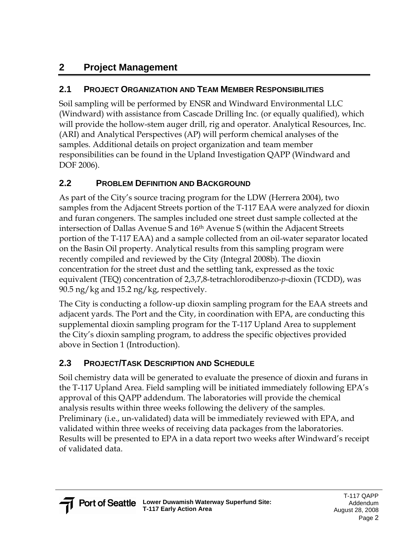## **2 Project Management**

## **2.1 PROJECT ORGANIZATION AND TEAM MEMBER RESPONSIBILITIES**

Soil sampling will be performed by ENSR and Windward Environmental LLC (Windward) with assistance from Cascade Drilling Inc. (or equally qualified), which will provide the hollow-stem auger drill, rig and operator. Analytical Resources, Inc. (ARI) and Analytical Perspectives (AP) will perform chemical analyses of the samples. Additional details on project organization and team member responsibilities can be found in the Upland Investigation QAPP (Windward and DOF 2006).

## **2.2 PROBLEM DEFINITION AND BACKGROUND**

As part of the City's source tracing program for the LDW (Herrera 2004), two samples from the Adjacent Streets portion of the T-117 EAA were analyzed for dioxin and furan congeners. The samples included one street dust sample collected at the intersection of Dallas Avenue S and 16th Avenue S (within the Adjacent Streets portion of the T-117 EAA) and a sample collected from an oil-water separator located on the Basin Oil property. Analytical results from this sampling program were recently compiled and reviewed by the City (Integral 2008b). The dioxin concentration for the street dust and the settling tank, expressed as the toxic equivalent (TEQ) concentration of 2,3,7,8-tetrachlorodibenzo-*p*-dioxin (TCDD), was 90.5 ng/kg and 15.2 ng/kg, respectively.

The City is conducting a follow-up dioxin sampling program for the EAA streets and adjacent yards. The Port and the City, in coordination with EPA, are conducting this supplemental dioxin sampling program for the T-117 Upland Area to supplement the City's dioxin sampling program, to address the specific objectives provided above in Section 1 (Introduction).

## **2.3 PROJECT/TASK DESCRIPTION AND SCHEDULE**

Soil chemistry data will be generated to evaluate the presence of dioxin and furans in the T-117 Upland Area. Field sampling will be initiated immediately following EPA's approval of this QAPP addendum. The laboratories will provide the chemical analysis results within three weeks following the delivery of the samples. Preliminary (i.e., un-validated) data will be immediately reviewed with EPA, and validated within three weeks of receiving data packages from the laboratories. Results will be presented to EPA in a data report two weeks after Windward's receipt of validated data.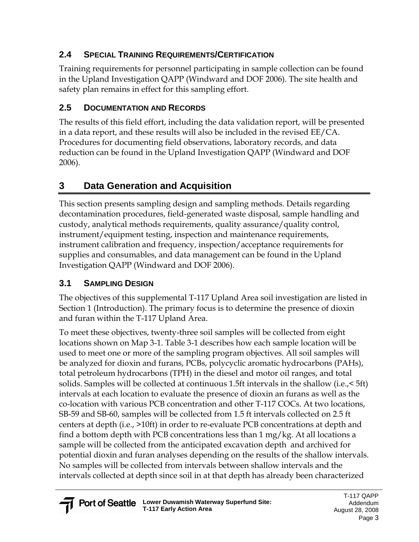## **2.4 SPECIAL TRAINING REQUIREMENTS/CERTIFICATION**

Training requirements for personnel participating in sample collection can be found in the Upland Investigation QAPP (Windward and DOF 2006). The site health and safety plan remains in effect for this sampling effort.

## **2.5 DOCUMENTATION AND RECORDS**

The results of this field effort, including the data validation report, will be presented in a data report, and these results will also be included in the revised EE/CA. Procedures for documenting field observations, laboratory records, and data reduction can be found in the Upland Investigation QAPP (Windward and DOF 2006).

# **3 Data Generation and Acquisition**

This section presents sampling design and sampling methods. Details regarding decontamination procedures, field-generated waste disposal, sample handling and custody, analytical methods requirements, quality assurance/quality control, instrument/equipment testing, inspection and maintenance requirements, instrument calibration and frequency, inspection/acceptance requirements for supplies and consumables, and data management can be found in the Upland Investigation QAPP (Windward and DOF 2006).

## **3.1 SAMPLING DESIGN**

The objectives of this supplemental T-117 Upland Area soil investigation are listed in Section 1 (Introduction). The primary focus is to determine the presence of dioxin and furan within the T-117 Upland Area.

To meet these objectives, twenty-three soil samples will be collected from eight locations shown on Map 3-1. Table 3-1 describes how each sample location will be used to meet one or more of the sampling program objectives. All soil samples will be analyzed for dioxin and furans, PCBs, polycyclic aromatic hydrocarbons (PAHs), total petroleum hydrocarbons (TPH) in the diesel and motor oil ranges, and total solids. Samples will be collected at continuous 1.5ft intervals in the shallow (i.e.,< 5ft) intervals at each location to evaluate the presence of dioxin an furans as well as the co-location with various PCB concentration and other T-117 COCs. At two locations, SB-59 and SB-60, samples will be collected from 1.5 ft intervals collected on 2.5 ft centers at depth (i.e., >10ft) in order to re-evaluate PCB concentrations at depth and find a bottom depth with PCB concentrations less than 1 mg/kg. At all locations a sample will be collected from the anticipated excavation depth and archived for potential dioxin and furan analyses depending on the results of the shallow intervals. No samples will be collected from intervals between shallow intervals and the intervals collected at depth since soil in at that depth has already been characterized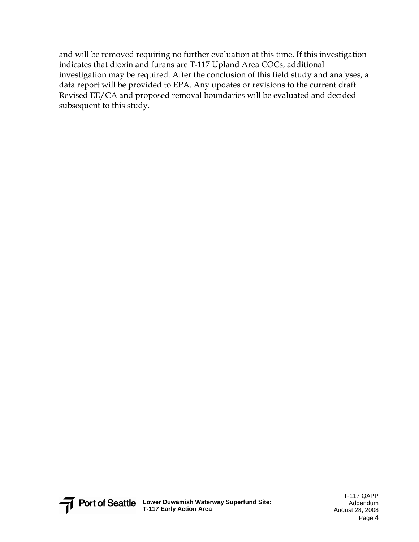and will be removed requiring no further evaluation at this time. If this investigation indicates that dioxin and furans are T-117 Upland Area COCs, additional investigation may be required. After the conclusion of this field study and analyses, a data report will be provided to EPA. Any updates or revisions to the current draft Revised EE/CA and proposed removal boundaries will be evaluated and decided subsequent to this study.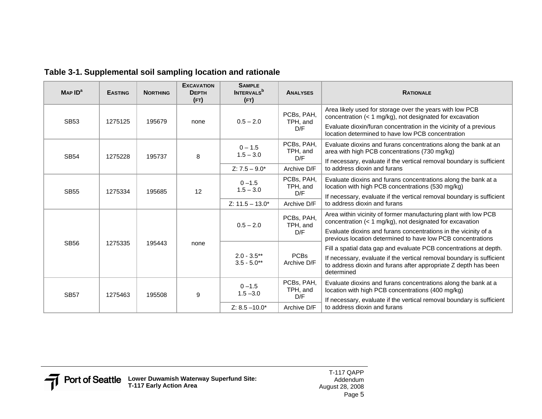| MAPID <sup>a</sup> | <b>EASTING</b> | <b>NORTHING</b> | <b>EXCAVATION</b><br><b>DEPTH</b><br>(FT) | <b>SAMPLE</b><br><b>INTERVALS</b> <sup>b</sup><br>(FT) | <b>ANALYSES</b>               | <b>RATIONALE</b>                                                                                                                                                                             |
|--------------------|----------------|-----------------|-------------------------------------------|--------------------------------------------------------|-------------------------------|----------------------------------------------------------------------------------------------------------------------------------------------------------------------------------------------|
| <b>SB53</b>        | 1275125        | 195679          | none                                      | $0.5 - 2.0$                                            | PCBs, PAH,<br>TPH, and        | Area likely used for storage over the years with low PCB<br>concentration (< 1 mg/kg), not designated for excavation                                                                         |
|                    |                |                 |                                           |                                                        | D/F                           | Evaluate dioxin/furan concentration in the vicinity of a previous<br>location determined to have low PCB concentration                                                                       |
|                    |                |                 |                                           | $0 - 1.5$<br>$1.5 - 3.0$                               | PCBs, PAH,<br>TPH, and        | Evaluate dioxins and furans concentrations along the bank at an<br>area with high PCB concentrations (730 mg/kg)                                                                             |
| <b>SB54</b>        | 1275228        | 195737          | 8                                         |                                                        | D/F                           | If necessary, evaluate if the vertical removal boundary is sufficient                                                                                                                        |
|                    |                |                 |                                           | $Z: 7.5 - 9.0^*$                                       | Archive D/F                   | to address dioxin and furans                                                                                                                                                                 |
| <b>SB55</b>        | 1275334        | 195685          | 12                                        | $0 - 1.5$<br>$1.5 - 3.0$                               | PCBs, PAH,<br>TPH, and        | Evaluate dioxins and furans concentrations along the bank at a<br>location with high PCB concentrations (530 mg/kg)                                                                          |
|                    |                |                 |                                           |                                                        | D/F                           | If necessary, evaluate if the vertical removal boundary is sufficient                                                                                                                        |
|                    |                |                 |                                           | $Z: 11.5 - 13.0*$                                      | Archive D/F                   | to address dioxin and furans                                                                                                                                                                 |
|                    | 1275335        | 195443          | none                                      | $0.5 - 2.0$                                            | PCBs, PAH,<br>TPH, and        | Area within vicinity of former manufacturing plant with low PCB<br>concentration (< 1 mg/kg), not designated for excavation                                                                  |
| <b>SB56</b>        |                |                 |                                           |                                                        | D/F                           | Evaluate dioxins and furans concentrations in the vicinity of a<br>previous location determined to have low PCB concentrations                                                               |
|                    |                |                 |                                           | $2.0 - 3.5**$<br>$3.5 - 5.0**$                         |                               | Fill a spatial data gap and evaluate PCB concentrations at depth.                                                                                                                            |
|                    |                |                 |                                           |                                                        | <b>PCBs</b><br>Archive D/F    | If necessary, evaluate if the vertical removal boundary is sufficient<br>to address dioxin and furans after appropriate Z depth has been<br>determined                                       |
| <b>SB57</b>        | 1275463        | 195508          | 9                                         | $0 - 1.5$<br>$1.5 - 3.0$                               | PCBs, PAH,<br>TPH, and<br>D/F | Evaluate dioxins and furans concentrations along the bank at a<br>location with high PCB concentrations (400 mg/kg)<br>If necessary, evaluate if the vertical removal boundary is sufficient |
|                    |                |                 |                                           | $Z: 8.5 - 10.0*$                                       | Archive D/F                   | to address dioxin and furans                                                                                                                                                                 |

**Table 3-1. Supplemental soil sampling location and rationale**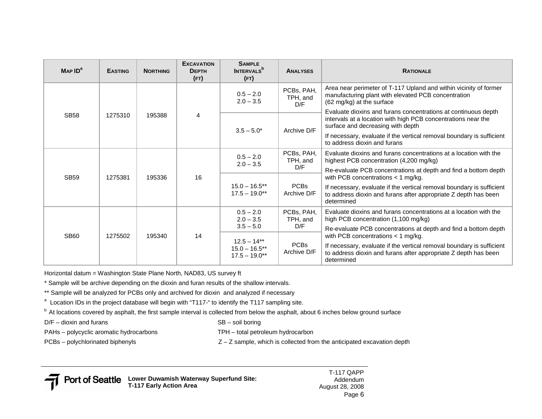| MAPID <sup>a</sup> | <b>EASTING</b> | <b>NORTHING</b> | <b>EXCAVATION</b><br><b>DEPTH</b><br>(FT) | <b>SAMPLE</b><br><b>INTERVALS</b> <sup>b</sup><br>(FT) | <b>ANALYSES</b>                                                                                              | <b>RATIONALE</b>                                                                                                                                                                               |                                                                                                           |
|--------------------|----------------|-----------------|-------------------------------------------|--------------------------------------------------------|--------------------------------------------------------------------------------------------------------------|------------------------------------------------------------------------------------------------------------------------------------------------------------------------------------------------|-----------------------------------------------------------------------------------------------------------|
|                    | 1275310        | 195388          | 4                                         | $0.5 - 2.0$<br>$2.0 - 3.5$                             | PCBs, PAH,<br>TPH, and<br>D/F                                                                                | Area near perimeter of T-117 Upland and within vicinity of former<br>manufacturing plant with elevated PCB concentration<br>(62 mg/kg) at the surface                                          |                                                                                                           |
| <b>SB58</b>        |                |                 |                                           | $3.5 - 5.0*$                                           | Archive D/F                                                                                                  | Evaluate dioxins and furans concentrations at continuous depth<br>intervals at a location with high PCB concentrations near the<br>surface and decreasing with depth                           |                                                                                                           |
|                    |                |                 |                                           |                                                        |                                                                                                              | If necessary, evaluate if the vertical removal boundary is sufficient<br>to address dioxin and furans                                                                                          |                                                                                                           |
|                    | 1275381        | 195336          | 16                                        | PCBs, PAH,<br>$0.5 - 2.0$<br>TPH, and<br>$2.0 - 3.5$   | Evaluate dioxins and furans concentrations at a location with the<br>highest PCB concentration (4,200 mg/kg) |                                                                                                                                                                                                |                                                                                                           |
| <b>SB59</b>        |                |                 |                                           |                                                        | D/F                                                                                                          | Re-evaluate PCB concentrations at depth and find a bottom depth<br>with PCB concentrations $<$ 1 mg/kg.                                                                                        |                                                                                                           |
|                    |                |                 |                                           | $15.0 - 16.5***$<br>$17.5 - 19.0**$                    | <b>PCBs</b><br>Archive D/F                                                                                   | If necessary, evaluate if the vertical removal boundary is sufficient<br>to address dioxin and furans after appropriate Z depth has been<br>determined                                         |                                                                                                           |
|                    |                | 195340          | 14                                        |                                                        | $0.5 - 2.0$<br>$2.0 - 3.5$                                                                                   | PCBs, PAH,<br>TPH, and                                                                                                                                                                         | Evaluate dioxins and furans concentrations at a location with the<br>high PCB concentration (1,100 mg/kg) |
|                    |                |                 |                                           | $3.5 - 5.0$                                            | D/F                                                                                                          | Re-evaluate PCB concentrations at depth and find a bottom depth                                                                                                                                |                                                                                                           |
| <b>SB60</b>        | 1275502        |                 |                                           | $12.5 - 14***$<br>$15.0 - 16.5$ **<br>$17.5 - 19.0**$  | <b>PCBs</b><br>Archive D/F                                                                                   | with PCB concentrations $<$ 1 mg/kg.<br>If necessary, evaluate if the vertical removal boundary is sufficient<br>to address dioxin and furans after appropriate Z depth has been<br>determined |                                                                                                           |

Horizontal datum = Washington State Plane North, NAD83, US survey ft

\* Sample will be archive depending on the dioxin and furan results of the shallow intervals.

\*\* Sample will be analyzed for PCBs only and archived for dioxin and analyzed if necessary

<sup>a</sup> Location IDs in the project database will begin with "T117-" to identify the T117 sampling site.

 $^{\text{b}}$  At locations covered by asphalt, the first sample interval is collected from below the asphalt, about 6 inches below ground surface

 $D/F -$  dioxin and furans  $SB -$  soil boring

PAHs – polycyclic aromatic hydrocarbons TPH – total petroleum hydrocarbon

PCBs – polychlorinated biphenyls **EXEC 10** and  $Z - Z$  sample, which is collected from the anticipated excavation depth

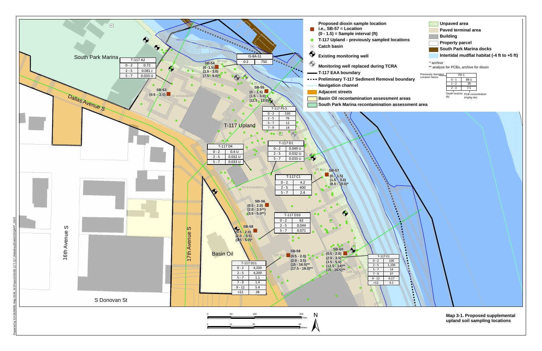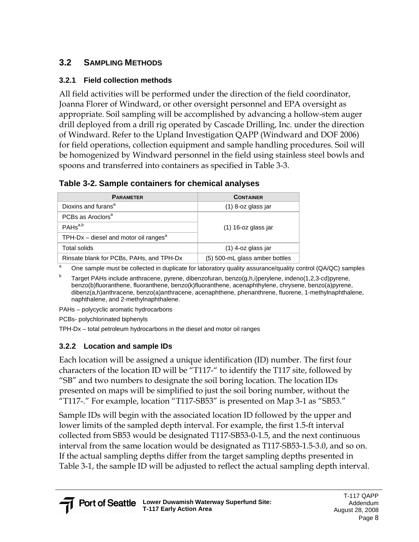### **3.2 SAMPLING METHODS**

#### **3.2.1 Field collection methods**

All field activities will be performed under the direction of the field coordinator, Joanna Florer of Windward, or other oversight personnel and EPA oversight as appropriate. Soil sampling will be accomplished by advancing a hollow-stem auger drill deployed from a drill rig operated by Cascade Drilling, Inc. under the direction of Windward. Refer to the Upland Investigation QAPP (Windward and DOF 2006) for field operations, collection equipment and sample handling procedures. Soil will be homogenized by Windward personnel in the field using stainless steel bowls and spoons and transferred into containers as specified in Table 3-3.

### **Table 3-2. Sample containers for chemical analyses**

| <b>PARAMETER</b>                                    | <b>CONTAINER</b>               |  |  |
|-----------------------------------------------------|--------------------------------|--|--|
| Dioxins and furans <sup>a</sup>                     | $(1)$ 8-oz glass jar           |  |  |
| PCBs as Aroclors <sup>a</sup>                       |                                |  |  |
| PAHs <sup>a,b</sup>                                 | $(1)$ 16-oz glass jar          |  |  |
| TPH-Dx $-$ diesel and motor oil ranges <sup>a</sup> |                                |  |  |
| Total solids                                        | $(1)$ 4-oz glass jar           |  |  |
| Rinsate blank for PCBs, PAHs, and TPH-Dx            | (5) 500-mL glass amber bottles |  |  |

One sample must be collected in duplicate for laboratory quality assurance/quality control (QA/QC) samples

b Target PAHs include anthracene, pyrene, dibenzofuran, benzo(g,h,i)perylene, indeno(1,2,3-cd)pyrene, benzo(b)fluoranthene, fluoranthene, benzo(k)fluoranthene, acenaphthylene, chrysene, benzo(a)pyrene, dibenz(a,h)anthracene, benzo(a)anthracene, acenaphthene, phenanthrene, fluorene, 1-methylnaphthalene, naphthalene, and 2-methylnaphthalene.

PAHs – polycyclic aromatic hydrocarbons

PCBs- polychlorinated biphenyls

TPH-Dx – total petroleum hydrocarbons in the diesel and motor oil ranges

### **3.2.2 Location and sample IDs**

Each location will be assigned a unique identification (ID) number. The first four characters of the location ID will be "T117-" to identify the T117 site, followed by "SB" and two numbers to designate the soil boring location. The location IDs presented on maps will be simplified to just the soil boring number, without the "T117-." For example, location "T117-SB53" is presented on Map 3-1 as "SB53."

Sample IDs will begin with the associated location ID followed by the upper and lower limits of the sampled depth interval. For example, the first 1.5-ft interval collected from SB53 would be designated T117-SB53-0-1.5, and the next continuous interval from the same location would be designated as T117-SB53-1.5-3.0, and so on. If the actual sampling depths differ from the target sampling depths presented in Table 3-1, the sample ID will be adjusted to reflect the actual sampling depth interval.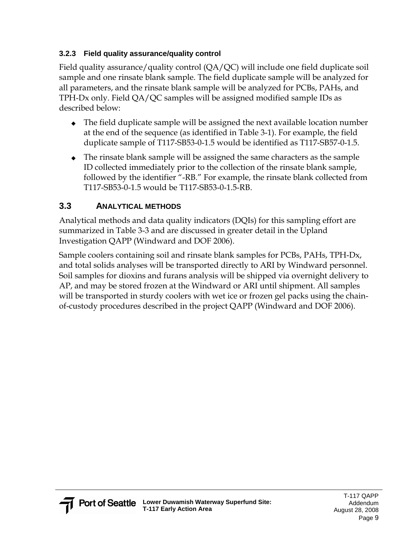### **3.2.3 Field quality assurance/quality control**

Field quality assurance/quality control (QA/QC) will include one field duplicate soil sample and one rinsate blank sample. The field duplicate sample will be analyzed for all parameters, and the rinsate blank sample will be analyzed for PCBs, PAHs, and TPH-Dx only. Field QA/QC samples will be assigned modified sample IDs as described below:

- ◆ The field duplicate sample will be assigned the next available location number at the end of the sequence (as identified in Table 3-1). For example, the field duplicate sample of T117-SB53-0-1.5 would be identified as T117-SB57-0-1.5.
- ◆ The rinsate blank sample will be assigned the same characters as the sample ID collected immediately prior to the collection of the rinsate blank sample, followed by the identifier "-RB." For example, the rinsate blank collected from T117-SB53-0-1.5 would be T117-SB53-0-1.5-RB.

### **3.3 ANALYTICAL METHODS**

Analytical methods and data quality indicators (DQIs) for this sampling effort are summarized in Table 3-3 and are discussed in greater detail in the Upland Investigation QAPP (Windward and DOF 2006).

Sample coolers containing soil and rinsate blank samples for PCBs, PAHs, TPH-Dx, and total solids analyses will be transported directly to ARI by Windward personnel. Soil samples for dioxins and furans analysis will be shipped via overnight delivery to AP, and may be stored frozen at the Windward or ARI until shipment. All samples will be transported in sturdy coolers with wet ice or frozen gel packs using the chainof-custody procedures described in the project QAPP (Windward and DOF 2006).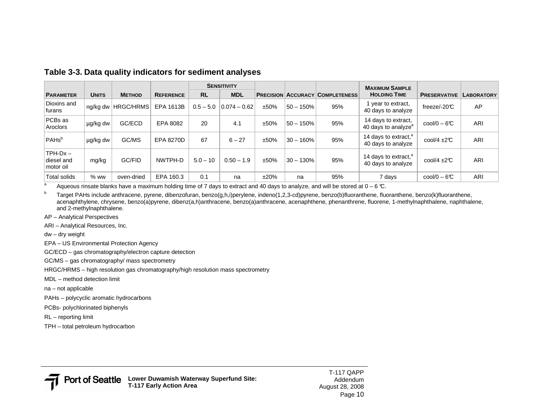|                                      |              |                      |                  | <b>SENSITIVITY</b> |                |      |             |                                        | <b>MAXIMUM SAMPLE</b>                                  |                               |                   |
|--------------------------------------|--------------|----------------------|------------------|--------------------|----------------|------|-------------|----------------------------------------|--------------------------------------------------------|-------------------------------|-------------------|
| <b>PARAMETER</b>                     | <b>UNITS</b> | <b>METHOD</b>        | <b>REFERENCE</b> | <b>RL</b>          | <b>MDL</b>     |      |             | <b>PRECISION ACCURACY COMPLETENESS</b> | <b>HOLDING TIME</b>                                    | <b>PRESERVATIVE</b>           | <b>LABORATORY</b> |
| Dioxins and<br>lfurans               |              | ng/kg dw   HRGC/HRMS | EPA 1613B        | $0.5 - 5.0$        | $0.074 - 0.62$ | ±50% | $50 - 150%$ | 95%                                    | year to extract,<br>40 days to analyze                 | freeze/-20 $C$                | AP                |
| PCBs as<br>Aroclors                  | µg/kg dw     | GC/ECD               | EPA 8082         | 20                 | 4.1            | ±50% | $50 - 150%$ | 95%                                    | 14 days to extract,<br>40 days to analyze <sup>a</sup> | $\text{cool/O} - 6\text{C}$   | ARI               |
| PAHs <sup>b</sup>                    | µg/kg dw     | GC/MS                | <b>EPA 8270D</b> | 67                 | $6 - 27$       | ±50% | $30 - 160%$ | 95%                                    | 14 days to extract, <sup>a</sup><br>40 days to analyze | $\text{cool}/4 \pm 2\text{C}$ | <b>ARI</b>        |
| $TPH-Dx-$<br>diesel and<br>motor oil | mg/kg        | GC/FID               | NWTPH-D          | $5.0 - 10$         | $0.50 - 1.9$   | ±50% | $30 - 130%$ | 95%                                    | 14 days to extract, <sup>a</sup><br>40 days to analyze | $\text{cool}/4 \pm 2\text{C}$ | <b>ARI</b>        |
| <b>Total solids</b>                  | $%$ ww       | oven-dried           | EPA 160.3        | 0.1                | na             | ±20% | na          | 95%                                    | 7 days                                                 | $\text{cool/0} - 6\text{C}$   | <b>ARI</b>        |

#### **Table 3-3. Data quality indicators for sediment analyses**

<sup>a</sup> Aqueous rinsate blanks have a maximum holding time of 7 days to extract and 40 days to analyze, and will be stored at  $0 - 6$  °C.

<sup>b</sup> Target PAHs include anthracene, pyrene, dibenzofuran, benzo(g,h,i)perylene, indeno(1,2,3-cd)pyrene, benzo(b)fluoranthene, fluoranthene, benzo(k)fluoranthene, acenaphthylene, chrysene, benzo(a)pyrene, dibenz(a,h)anthracene, benzo(a)anthracene, acenaphthene, phenanthrene, fluorene, 1-methylnaphthalene, naphthalene, and 2-methylnaphthalene.

- AP Analytical Perspectives
- ARI Analytical Resources, Inc.
- dw dry weight
- EPA US Environmental Protection Agency
- GC/ECD gas chromatography/electron capture detection
- GC/MS gas chromatography/ mass spectrometry
- HRGC/HRMS high resolution gas chromatography/high resolution mass spectrometry
- MDL method detection limit
- na not applicable
- PAHs polycyclic aromatic hydrocarbons
- PCBs- polychlorinated biphenyls
- RL reporting limit
- TPH total petroleum hydrocarbon